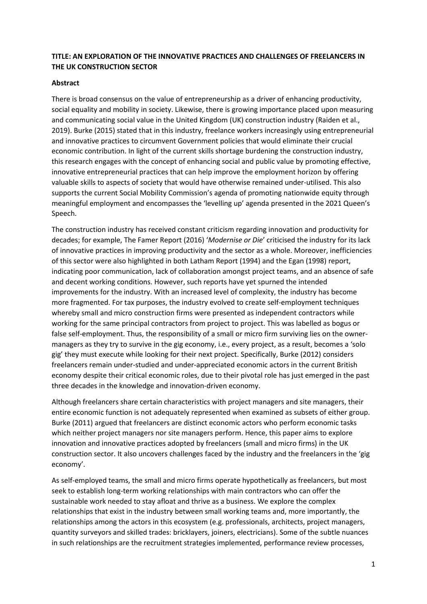# **TITLE: AN EXPLORATION OF THE INNOVATIVE PRACTICES AND CHALLENGES OF FREELANCERS IN THE UK CONSTRUCTION SECTOR**

## **Abstract**

There is broad consensus on the value of entrepreneurship as a driver of enhancing productivity, social equality and mobility in society. Likewise, there is growing importance placed upon measuring and communicating social value in the United Kingdom (UK) construction industry (Raiden et al., 2019). Burke (2015) stated that in this industry, freelance workers increasingly using entrepreneurial and innovative practices to circumvent Government policies that would eliminate their crucial economic contribution. In light of the current skills shortage burdening the construction industry, this research engages with the concept of enhancing social and public value by promoting effective, innovative entrepreneurial practices that can help improve the employment horizon by offering valuable skills to aspects of society that would have otherwise remained under-utilised. This also supports the current Social Mobility Commission's agenda of promoting nationwide equity through meaningful employment and encompasses the 'levelling up' agenda presented in the 2021 Queen's Speech.

The construction industry has received constant criticism regarding innovation and productivity for decades; for example, The Famer Report (2016) '*Modernise or Die*' criticised the industry for its lack of innovative practices in improving productivity and the sector as a whole. Moreover, inefficiencies of this sector were also highlighted in both Latham Report (1994) and the Egan (1998) report, indicating poor communication, lack of collaboration amongst project teams, and an absence of safe and decent working conditions. However, such reports have yet spurned the intended improvements for the industry. With an increased level of complexity, the industry has become more fragmented. For tax purposes, the industry evolved to create self-employment techniques whereby small and micro construction firms were presented as independent contractors while working for the same principal contractors from project to project. This was labelled as bogus or false self-employment. Thus, the responsibility of a small or micro firm surviving lies on the ownermanagers as they try to survive in the gig economy, i.e., every project, as a result, becomes a 'solo gig' they must execute while looking for their next project. Specifically, Burke (2012) considers freelancers remain under-studied and under-appreciated economic actors in the current British economy despite their critical economic roles, due to their pivotal role has just emerged in the past three decades in the knowledge and innovation-driven economy.

Although freelancers share certain characteristics with project managers and site managers, their entire economic function is not adequately represented when examined as subsets of either group. Burke (2011) argued that freelancers are distinct economic actors who perform economic tasks which neither project managers nor site managers perform. Hence, this paper aims to explore innovation and innovative practices adopted by freelancers (small and micro firms) in the UK construction sector. It also uncovers challenges faced by the industry and the freelancers in the 'gig economy'.

As self-employed teams, the small and micro firms operate hypothetically as freelancers, but most seek to establish long-term working relationships with main contractors who can offer the sustainable work needed to stay afloat and thrive as a business. We explore the complex relationships that exist in the industry between small working teams and, more importantly, the relationships among the actors in this ecosystem (e.g. professionals, architects, project managers, quantity surveyors and skilled trades: bricklayers, joiners, electricians). Some of the subtle nuances in such relationships are the recruitment strategies implemented, performance review processes,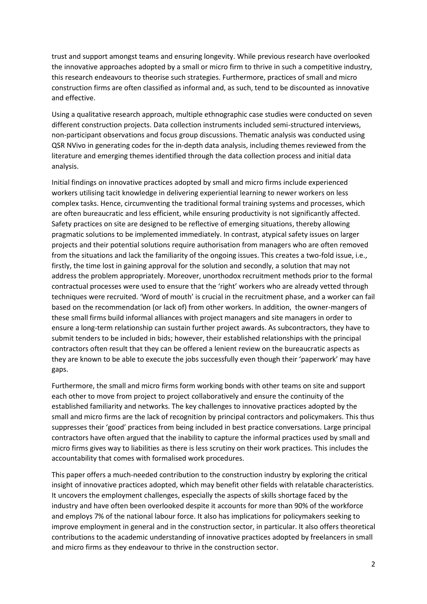trust and support amongst teams and ensuring longevity. While previous research have overlooked the innovative approaches adopted by a small or micro firm to thrive in such a competitive industry, this research endeavours to theorise such strategies. Furthermore, practices of small and micro construction firms are often classified as informal and, as such, tend to be discounted as innovative and effective.

Using a qualitative research approach, multiple ethnographic case studies were conducted on seven different construction projects. Data collection instruments included semi-structured interviews, non-participant observations and focus group discussions. Thematic analysis was conducted using QSR NVivo in generating codes for the in-depth data analysis, including themes reviewed from the literature and emerging themes identified through the data collection process and initial data analysis.

Initial findings on innovative practices adopted by small and micro firms include experienced workers utilising tacit knowledge in delivering experiential learning to newer workers on less complex tasks. Hence, circumventing the traditional formal training systems and processes, which are often bureaucratic and less efficient, while ensuring productivity is not significantly affected. Safety practices on site are designed to be reflective of emerging situations, thereby allowing pragmatic solutions to be implemented immediately. In contrast, atypical safety issues on larger projects and their potential solutions require authorisation from managers who are often removed from the situations and lack the familiarity of the ongoing issues. This creates a two-fold issue, i.e., firstly, the time lost in gaining approval for the solution and secondly, a solution that may not address the problem appropriately. Moreover, unorthodox recruitment methods prior to the formal contractual processes were used to ensure that the 'right' workers who are already vetted through techniques were recruited. 'Word of mouth' is crucial in the recruitment phase, and a worker can fail based on the recommendation (or lack of) from other workers. In addition, the owner-mangers of these small firms build informal alliances with project managers and site managers in order to ensure a long-term relationship can sustain further project awards. As subcontractors, they have to submit tenders to be included in bids; however, their established relationships with the principal contractors often result that they can be offered a lenient review on the bureaucratic aspects as they are known to be able to execute the jobs successfully even though their 'paperwork' may have gaps.

Furthermore, the small and micro firms form working bonds with other teams on site and support each other to move from project to project collaboratively and ensure the continuity of the established familiarity and networks. The key challenges to innovative practices adopted by the small and micro firms are the lack of recognition by principal contractors and policymakers. This thus suppresses their 'good' practices from being included in best practice conversations. Large principal contractors have often argued that the inability to capture the informal practices used by small and micro firms gives way to liabilities as there is less scrutiny on their work practices. This includes the accountability that comes with formalised work procedures.

This paper offers a much-needed contribution to the construction industry by exploring the critical insight of innovative practices adopted, which may benefit other fields with relatable characteristics. It uncovers the employment challenges, especially the aspects of skills shortage faced by the industry and have often been overlooked despite it accounts for more than 90% of the workforce and employs 7% of the national labour force. It also has implications for policymakers seeking to improve employment in general and in the construction sector, in particular. It also offers theoretical contributions to the academic understanding of innovative practices adopted by freelancers in small and micro firms as they endeavour to thrive in the construction sector.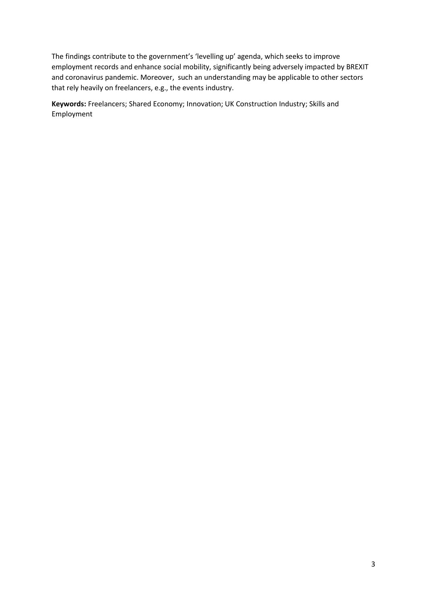The findings contribute to the government's 'levelling up' agenda, which seeks to improve employment records and enhance social mobility, significantly being adversely impacted by BREXIT and coronavirus pandemic. Moreover, such an understanding may be applicable to other sectors that rely heavily on freelancers, e.g., the events industry.

**Keywords:** Freelancers; Shared Economy; Innovation; UK Construction Industry; Skills and Employment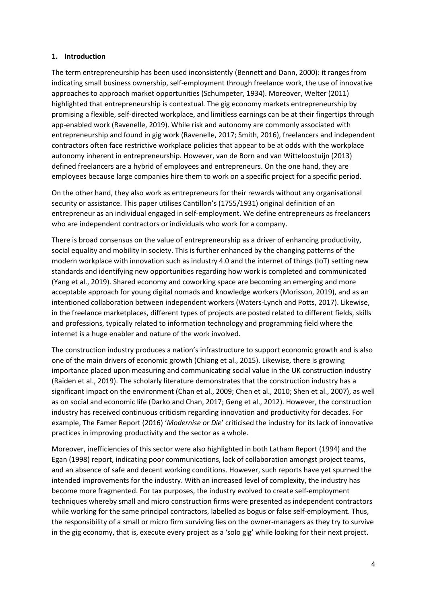# **1. Introduction**

The term entrepreneurship has been used inconsistently (Bennett and Dann, 2000): it ranges from indicating small business ownership, self-employment through freelance work, the use of innovative approaches to approach market opportunities (Schumpeter, 1934). Moreover, Welter (2011) highlighted that entrepreneurship is contextual. The gig economy markets entrepreneurship by promising a flexible, self-directed workplace, and limitless earnings can be at their fingertips through app-enabled work (Ravenelle, 2019). While risk and autonomy are commonly associated with entrepreneurship and found in gig work (Ravenelle, 2017; Smith, 2016), freelancers and independent contractors often face restrictive workplace policies that appear to be at odds with the workplace autonomy inherent in entrepreneurship. However, van de Born and van Witteloostuijn (2013) defined freelancers are a hybrid of employees and entrepreneurs. On the one hand, they are employees because large companies hire them to work on a specific project for a specific period.

On the other hand, they also work as entrepreneurs for their rewards without any organisational security or assistance. This paper utilises Cantillon's (1755/1931) original definition of an entrepreneur as an individual engaged in self-employment. We define entrepreneurs as freelancers who are independent contractors or individuals who work for a company.

There is broad consensus on the value of entrepreneurship as a driver of enhancing productivity, social equality and mobility in society. This is further enhanced by the changing patterns of the modern workplace with innovation such as industry 4.0 and the internet of things (IoT) setting new standards and identifying new opportunities regarding how work is completed and communicated (Yang et al., 2019). Shared economy and coworking space are becoming an emerging and more acceptable approach for young digital nomads and knowledge workers (Morisson, 2019), and as an intentioned collaboration between independent workers (Waters-Lynch and Potts, 2017). Likewise, in the freelance marketplaces, different types of projects are posted related to different fields, skills and professions, typically related to information technology and programming field where the internet is a huge enabler and nature of the work involved.

The construction industry produces a nation's infrastructure to support economic growth and is also one of the main drivers of economic growth (Chiang et al., 2015). Likewise, there is growing importance placed upon measuring and communicating social value in the UK construction industry (Raiden et al., 2019). The scholarly literature demonstrates that the construction industry has a significant impact on the environment (Chan et al., 2009; Chen et al., 2010; Shen et al., 2007), as well as on social and economic life (Darko and Chan, 2017; Geng et al., 2012). However, the construction industry has received continuous criticism regarding innovation and productivity for decades. For example, The Famer Report (2016) '*Modernise or Die*' criticised the industry for its lack of innovative practices in improving productivity and the sector as a whole.

Moreover, inefficiencies of this sector were also highlighted in both Latham Report (1994) and the Egan (1998) report, indicating poor communications, lack of collaboration amongst project teams, and an absence of safe and decent working conditions. However, such reports have yet spurned the intended improvements for the industry. With an increased level of complexity, the industry has become more fragmented. For tax purposes, the industry evolved to create self-employment techniques whereby small and micro construction firms were presented as independent contractors while working for the same principal contractors, labelled as bogus or false self-employment. Thus, the responsibility of a small or micro firm surviving lies on the owner-managers as they try to survive in the gig economy, that is, execute every project as a 'solo gig' while looking for their next project.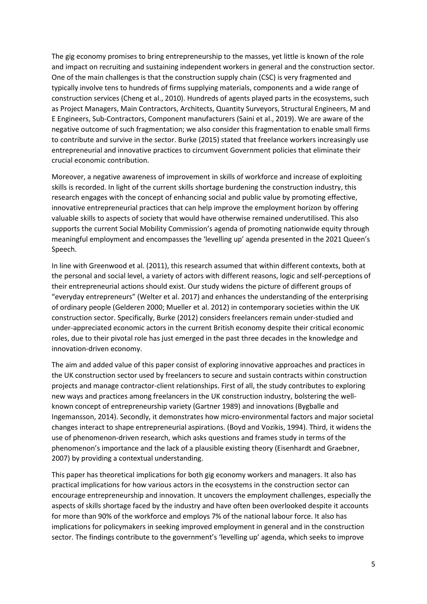The gig economy promises to bring entrepreneurship to the masses, yet little is known of the role and impact on recruiting and sustaining independent workers in general and the construction sector. One of the main challenges is that the construction supply chain (CSC) is very fragmented and typically involve tens to hundreds of firms supplying materials, components and a wide range of construction services (Cheng et al., 2010). Hundreds of agents played parts in the ecosystems, such as Project Managers, Main Contractors, Architects, Quantity Surveyors, Structural Engineers, M and E Engineers, Sub-Contractors, Component manufacturers (Saini et al., 2019). We are aware of the negative outcome of such fragmentation; we also consider this fragmentation to enable small firms to contribute and survive in the sector. Burke (2015) stated that freelance workers increasingly use entrepreneurial and innovative practices to circumvent Government policies that eliminate their crucial economic contribution.

Moreover, a negative awareness of improvement in skills of workforce and increase of exploiting skills is recorded. In light of the current skills shortage burdening the construction industry, this research engages with the concept of enhancing social and public value by promoting effective, innovative entrepreneurial practices that can help improve the employment horizon by offering valuable skills to aspects of society that would have otherwise remained underutilised. This also supports the current Social Mobility Commission's agenda of promoting nationwide equity through meaningful employment and encompasses the 'levelling up' agenda presented in the 2021 Queen's Speech.

In line with Greenwood et al. (2011), this research assumed that within different contexts, both at the personal and social level, a variety of actors with different reasons, logic and self-perceptions of their entrepreneurial actions should exist. Our study widens the picture of different groups of "everyday entrepreneurs" (Welter et al. 2017) and enhances the understanding of the enterprising of ordinary people (Gelderen 2000; Mueller et al. 2012) in contemporary societies within the UK construction sector. Specifically, Burke (2012) considers freelancers remain under-studied and under-appreciated economic actors in the current British economy despite their critical economic roles, due to their pivotal role has just emerged in the past three decades in the knowledge and innovation-driven economy.

The aim and added value of this paper consist of exploring innovative approaches and practices in the UK construction sector used by freelancers to secure and sustain contracts within construction projects and manage contractor-client relationships. First of all, the study contributes to exploring new ways and practices among freelancers in the UK construction industry, bolstering the wellknown concept of entrepreneurship variety (Gartner 1989) and innovations (Bygballe and Ingemansson, 2014). Secondly, it demonstrates how micro-environmental factors and major societal changes interact to shape entrepreneurial aspirations. (Boyd and Vozikis, 1994). Third, it widens the use of phenomenon-driven research, which asks questions and frames study in terms of the phenomenon's importance and the lack of a plausible existing theory (Eisenhardt and Graebner, 2007) by providing a contextual understanding.

This paper has theoretical implications for both gig economy workers and managers. It also has practical implications for how various actors in the ecosystems in the construction sector can encourage entrepreneurship and innovation. It uncovers the employment challenges, especially the aspects of skills shortage faced by the industry and have often been overlooked despite it accounts for more than 90% of the workforce and employs 7% of the national labour force. It also has implications for policymakers in seeking improved employment in general and in the construction sector. The findings contribute to the government's 'levelling up' agenda, which seeks to improve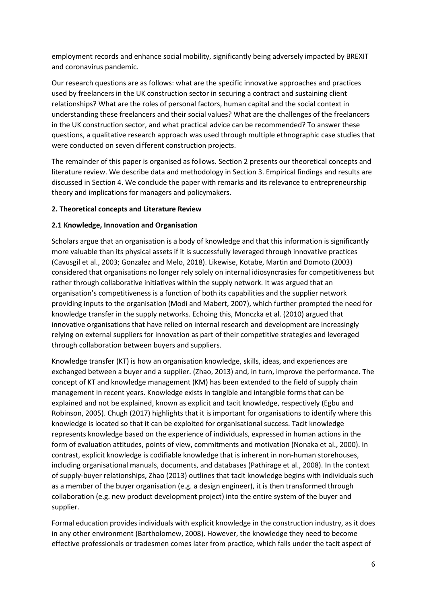employment records and enhance social mobility, significantly being adversely impacted by BREXIT and coronavirus pandemic.

Our research questions are as follows: what are the specific innovative approaches and practices used by freelancers in the UK construction sector in securing a contract and sustaining client relationships? What are the roles of personal factors, human capital and the social context in understanding these freelancers and their social values? What are the challenges of the freelancers in the UK construction sector, and what practical advice can be recommended? To answer these questions, a qualitative research approach was used through multiple ethnographic case studies that were conducted on seven different construction projects.

The remainder of this paper is organised as follows. Section 2 presents our theoretical concepts and literature review. We describe data and methodology in Section 3. Empirical findings and results are discussed in Section 4. We conclude the paper with remarks and its relevance to entrepreneurship theory and implications for managers and policymakers.

# **2. Theoretical concepts and Literature Review**

# **2.1 Knowledge, Innovation and Organisation**

Scholars argue that an organisation is a body of knowledge and that this information is significantly more valuable than its physical assets if it is successfully leveraged through innovative practices (Cavusgil et al., 2003; Gonzalez and Melo, 2018). Likewise, Kotabe, Martin and Domoto (2003) considered that organisations no longer rely solely on internal idiosyncrasies for competitiveness but rather through collaborative initiatives within the supply network. It was argued that an organisation's competitiveness is a function of both its capabilities and the supplier network providing inputs to the organisation (Modi and Mabert, 2007), which further prompted the need for knowledge transfer in the supply networks. Echoing this, Monczka et al. (2010) argued that innovative organisations that have relied on internal research and development are increasingly relying on external suppliers for innovation as part of their competitive strategies and leveraged through collaboration between buyers and suppliers.

Knowledge transfer (KT) is how an organisation knowledge, skills, ideas, and experiences are exchanged between a buyer and a supplier. (Zhao, 2013) and, in turn, improve the performance. The concept of KT and knowledge management (KM) has been extended to the field of supply chain management in recent years. Knowledge exists in tangible and intangible forms that can be explained and not be explained, known as explicit and tacit knowledge, respectively (Egbu and Robinson, 2005). Chugh (2017) highlights that it is important for organisations to identify where this knowledge is located so that it can be exploited for organisational success. Tacit knowledge represents knowledge based on the experience of individuals, expressed in human actions in the form of evaluation attitudes, points of view, commitments and motivation (Nonaka et al., 2000). In contrast, explicit knowledge is codifiable knowledge that is inherent in non-human storehouses, including organisational manuals, documents, and databases (Pathirage et al., 2008). In the context of supply-buyer relationships, Zhao (2013) outlines that tacit knowledge begins with individuals such as a member of the buyer organisation (e.g. a design engineer), it is then transformed through collaboration (e.g. new product development project) into the entire system of the buyer and supplier.

Formal education provides individuals with explicit knowledge in the construction industry, as it does in any other environment (Bartholomew, 2008). However, the knowledge they need to become effective professionals or tradesmen comes later from practice, which falls under the tacit aspect of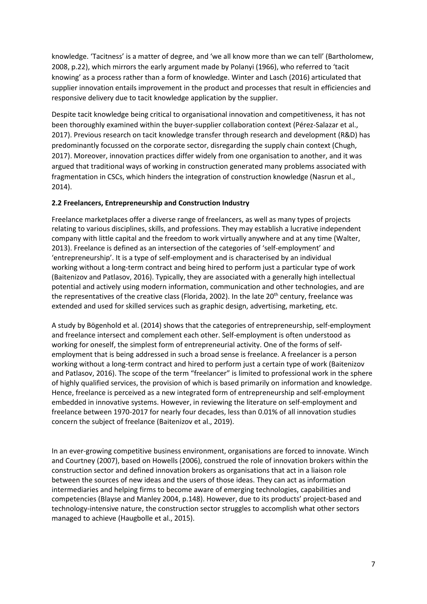knowledge. 'Tacitness' is a matter of degree, and 'we all know more than we can tell' (Bartholomew, 2008, p.22), which mirrors the early argument made by Polanyi (1966), who referred to 'tacit knowing' as a process rather than a form of knowledge. Winter and Lasch (2016) articulated that supplier innovation entails improvement in the product and processes that result in efficiencies and responsive delivery due to tacit knowledge application by the supplier.

Despite tacit knowledge being critical to organisational innovation and competitiveness, it has not been thoroughly examined within the buyer-supplier collaboration context (Pérez-Salazar et al., 2017). Previous research on tacit knowledge transfer through research and development (R&D) has predominantly focussed on the corporate sector, disregarding the supply chain context (Chugh, 2017). Moreover, innovation practices differ widely from one organisation to another, and it was argued that traditional ways of working in construction generated many problems associated with fragmentation in CSCs, which hinders the integration of construction knowledge (Nasrun et al., 2014).

# **2.2 Freelancers, Entrepreneurship and Construction Industry**

Freelance marketplaces offer a diverse range of freelancers, as well as many types of projects relating to various disciplines, skills, and professions. They may establish a lucrative independent company with little capital and the freedom to work virtually anywhere and at any time (Walter, 2013). Freelance is defined as an intersection of the categories of 'self-employment' and 'entrepreneurship'. It is a type of self-employment and is characterised by an individual working without a long-term contract and being hired to perform just a particular type of work (Baitenizov and Patlasov, 2016). Typically, they are associated with a generally high intellectual potential and actively using modern information, communication and other technologies, and are the representatives of the creative class (Florida, 2002). In the late 20<sup>th</sup> century, freelance was extended and used for skilled services such as graphic design, advertising, marketing, etc.

A study by Bögenhold et al. (2014) shows that the categories of entrepreneurship, self-employment and freelance intersect and complement each other. Self-employment is often understood as working for oneself, the simplest form of entrepreneurial activity. One of the forms of selfemployment that is being addressed in such a broad sense is freelance. A freelancer is a person working without a long-term contract and hired to perform just a certain type of work (Baitenizov and Patlasov, 2016). The scope of the term "freelancer" is limited to professional work in the sphere of highly qualified services, the provision of which is based primarily on information and knowledge. Hence, freelance is perceived as a new integrated form of entrepreneurship and self-employment embedded in innovative systems. However, in reviewing the literature on self-employment and freelance between 1970-2017 for nearly four decades, less than 0.01% of all innovation studies concern the subject of freelance (Baitenizov et al., 2019).

In an ever-growing competitive business environment, organisations are forced to innovate. Winch and Courtney (2007), based on Howells (2006), construed the role of innovation brokers within the construction sector and defined innovation brokers as organisations that act in a liaison role between the sources of new ideas and the users of those ideas. They can act as information intermediaries and helping firms to become aware of emerging technologies, capabilities and competencies (Blayse and Manley 2004, p.148). However, due to its products' project-based and technology-intensive nature, the construction sector struggles to accomplish what other sectors managed to achieve (Haugbolle et al., 2015).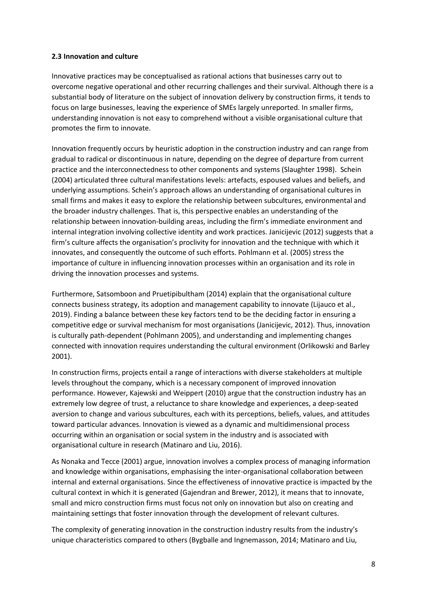## **2.3 Innovation and culture**

Innovative practices may be conceptualised as rational actions that businesses carry out to overcome negative operational and other recurring challenges and their survival. Although there is a substantial body of literature on the subject of innovation delivery by construction firms, it tends to focus on large businesses, leaving the experience of SMEs largely unreported. In smaller firms, understanding innovation is not easy to comprehend without a visible organisational culture that promotes the firm to innovate.

Innovation frequently occurs by heuristic adoption in the construction industry and can range from gradual to radical or discontinuous in nature, depending on the degree of departure from current practice and the interconnectedness to other components and systems (Slaughter 1998). Schein (2004) articulated three cultural manifestations levels: artefacts, espoused values and beliefs, and underlying assumptions. Schein's approach allows an understanding of organisational cultures in small firms and makes it easy to explore the relationship between subcultures, environmental and the broader industry challenges. That is, this perspective enables an understanding of the relationship between innovation-building areas, including the firm's immediate environment and internal integration involving collective identity and work practices. Janicijevic (2012) suggests that a firm's culture affects the organisation's proclivity for innovation and the technique with which it innovates, and consequently the outcome of such efforts. Pohlmann et al. (2005) stress the importance of culture in influencing innovation processes within an organisation and its role in driving the innovation processes and systems.

Furthermore, Satsomboon and Pruetipibultham (2014) explain that the organisational culture connects business strategy, its adoption and management capability to innovate (Lijauco et al., 2019). Finding a balance between these key factors tend to be the deciding factor in ensuring a competitive edge or survival mechanism for most organisations (Janicijevic, 2012). Thus, innovation is culturally path-dependent (Pohlmann 2005), and understanding and implementing changes connected with innovation requires understanding the cultural environment (Orlikowski and Barley 2001).

In construction firms, projects entail a range of interactions with diverse stakeholders at multiple levels throughout the company, which is a necessary component of improved innovation performance. However, Kajewski and Weippert (2010) argue that the construction industry has an extremely low degree of trust, a reluctance to share knowledge and experiences, a deep-seated aversion to change and various subcultures, each with its perceptions, beliefs, values, and attitudes toward particular advances. Innovation is viewed as a dynamic and multidimensional process occurring within an organisation or social system in the industry and is associated with organisational culture in research (Matinaro and Liu, 2016).

As Nonaka and Tecce (2001) argue, innovation involves a complex process of managing information and knowledge within organisations, emphasising the inter-organisational collaboration between internal and external organisations. Since the effectiveness of innovative practice is impacted by the cultural context in which it is generated (Gajendran and Brewer, 2012), it means that to innovate, small and micro construction firms must focus not only on innovation but also on creating and maintaining settings that foster innovation through the development of relevant cultures.

The complexity of generating innovation in the construction industry results from the industry's unique characteristics compared to others (Bygballe and Ingnemasson, 2014; Matinaro and Liu,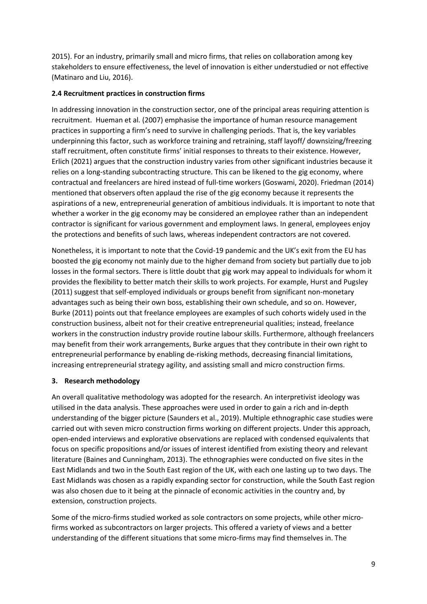2015). For an industry, primarily small and micro firms, that relies on collaboration among key stakeholders to ensure effectiveness, the level of innovation is either understudied or not effective (Matinaro and Liu, 2016).

# **2.4 Recruitment practices in construction firms**

In addressing innovation in the construction sector, one of the principal areas requiring attention is recruitment. Hueman et al. (2007) emphasise the importance of human resource management practices in supporting a firm's need to survive in challenging periods. That is, the key variables underpinning this factor, such as workforce training and retraining, staff layoff/ downsizing/freezing staff recruitment, often constitute firms' initial responses to threats to their existence. However, Erlich (2021) argues that the construction industry varies from other significant industries because it relies on a long-standing subcontracting structure. This can be likened to the gig economy, where contractual and freelancers are hired instead of full-time workers (Goswami, 2020). Friedman (2014) mentioned that observers often applaud the rise of the gig economy because it represents the aspirations of a new, entrepreneurial generation of ambitious individuals. It is important to note that whether a worker in the gig economy may be considered an employee rather than an independent contractor is significant for various government and employment laws. In general, employees enjoy the protections and benefits of such laws, whereas independent contractors are not covered.

Nonetheless, it is important to note that the Covid-19 pandemic and the UK's exit from the EU has boosted the gig economy not mainly due to the higher demand from society but partially due to job losses in the formal sectors. There is little doubt that gig work may appeal to individuals for whom it provides the flexibility to better match their skills to work projects. For example, Hurst and Pugsley (2011) suggest that self-employed individuals or groups benefit from significant non-monetary advantages such as being their own boss, establishing their own schedule, and so on. However, Burke (2011) points out that freelance employees are examples of such cohorts widely used in the construction business, albeit not for their creative entrepreneurial qualities; instead, freelance workers in the construction industry provide routine labour skills. Furthermore, although freelancers may benefit from their work arrangements, Burke argues that they contribute in their own right to entrepreneurial performance by enabling de-risking methods, decreasing financial limitations, increasing entrepreneurial strategy agility, and assisting small and micro construction firms.

# **3. Research methodology**

An overall qualitative methodology was adopted for the research. An interpretivist ideology was utilised in the data analysis. These approaches were used in order to gain a rich and in-depth understanding of the bigger picture (Saunders et al., 2019). Multiple ethnographic case studies were carried out with seven micro construction firms working on different projects. Under this approach, open-ended interviews and explorative observations are replaced with condensed equivalents that focus on specific propositions and/or issues of interest identified from existing theory and relevant literature (Baines and Cunningham, 2013). The ethnographies were conducted on five sites in the East Midlands and two in the South East region of the UK, with each one lasting up to two days. The East Midlands was chosen as a rapidly expanding sector for construction, while the South East region was also chosen due to it being at the pinnacle of economic activities in the country and, by extension, construction projects.

Some of the micro-firms studied worked as sole contractors on some projects, while other microfirms worked as subcontractors on larger projects. This offered a variety of views and a better understanding of the different situations that some micro-firms may find themselves in. The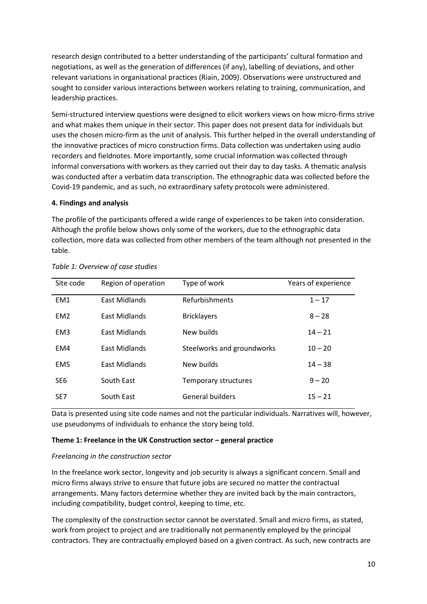research design contributed to a better understanding of the participants' cultural formation and negotiations, as well as the generation of differences (if any), labelling of deviations, and other relevant variations in organisational practices (Riain, 2009). Observations were unstructured and sought to consider various interactions between workers relating to training, communication, and leadership practices.

Semi-structured interview questions were designed to elicit workers views on how micro-firms strive and what makes them unique in their sector. This paper does not present data for individuals but uses the chosen micro-firm as the unit of analysis. This further helped in the overall understanding of the innovative practices of micro construction firms. Data collection was undertaken using audio recorders and fieldnotes. More importantly, some crucial information was collected through informal conversations with workers as they carried out their day to day tasks. A thematic analysis was conducted after a verbatim data transcription. The ethnographic data was collected before the Covid-19 pandemic, and as such, no extraordinary safety protocols were administered.

#### **4. Findings and analysis**

The profile of the participants offered a wide range of experiences to be taken into consideration. Although the profile below shows only some of the workers, due to the ethnographic data collection, more data was collected from other members of the team although not presented in the table.

| Site code       | Region of operation  | Type of work               | Years of experience |
|-----------------|----------------------|----------------------------|---------------------|
| EM <sub>1</sub> | East Midlands        | Refurbishments             | $1 - 17$            |
| EM <sub>2</sub> | <b>East Midlands</b> | <b>Bricklayers</b>         | $8 - 28$            |
| EM <sub>3</sub> | East Midlands        | New builds                 | $14 - 21$           |
| EM4             | <b>East Midlands</b> | Steelworks and groundworks | $10 - 20$           |
| EM <sub>5</sub> | East Midlands        | New builds                 | $14 - 38$           |
| SE <sub>6</sub> | South East           | Temporary structures       | $9 - 20$            |
| SE <sub>7</sub> | South East           | General builders           | $15 - 21$           |

#### *Table 1: Overview of case studies*

Data is presented using site code names and not the particular individuals. Narratives will, however, use pseudonyms of individuals to enhance the story being told.

#### **Theme 1: Freelance in the UK Construction sector – general practice**

#### *Freelancing in the construction sector*

In the freelance work sector, longevity and job security is always a significant concern. Small and micro firms always strive to ensure that future jobs are secured no matter the contractual arrangements. Many factors determine whether they are invited back by the main contractors, including compatibility, budget control, keeping to time, etc.

The complexity of the construction sector cannot be overstated. Small and micro firms, as stated, work from project to project and are traditionally not permanently employed by the principal contractors. They are contractually employed based on a given contract. As such, new contracts are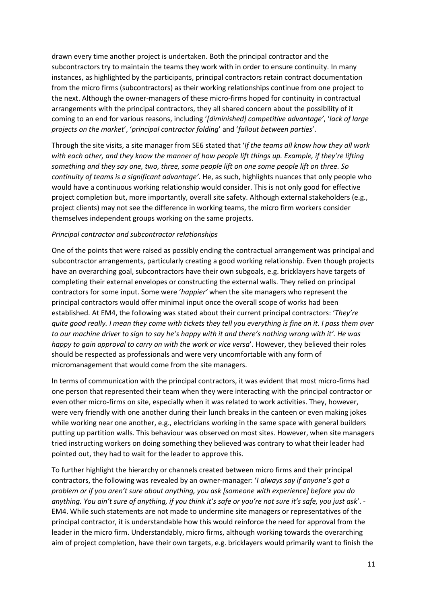drawn every time another project is undertaken. Both the principal contractor and the subcontractors try to maintain the teams they work with in order to ensure continuity. In many instances, as highlighted by the participants, principal contractors retain contract documentation from the micro firms (subcontractors) as their working relationships continue from one project to the next. Although the owner-managers of these micro-firms hoped for continuity in contractual arrangements with the principal contractors, they all shared concern about the possibility of it coming to an end for various reasons, including '*[diminished] competitive advantage'*, '*lack of large projects on the market*', '*principal contractor folding*' and '*fallout between parties*'.

Through the site visits, a site manager from SE6 stated that '*If the teams all know how they all work with each other, and they know the manner of how people lift things up. Example, if they're lifting something and they say one, two, three, some people lift on one some people lift on three. So continuity of teams is a significant advantage'*. He, as such, highlights nuances that only people who would have a continuous working relationship would consider. This is not only good for effective project completion but, more importantly, overall site safety. Although external stakeholders (e.g., project clients) may not see the difference in working teams, the micro firm workers consider themselves independent groups working on the same projects.

# *Principal contractor and subcontractor relationships*

One of the points that were raised as possibly ending the contractual arrangement was principal and subcontractor arrangements, particularly creating a good working relationship. Even though projects have an overarching goal, subcontractors have their own subgoals, e.g. bricklayers have targets of completing their external envelopes or constructing the external walls. They relied on principal contractors for some input. Some were '*happier'* when the site managers who represent the principal contractors would offer minimal input once the overall scope of works had been established. At EM4, the following was stated about their current principal contractors: '*They're quite good really. I mean they come with tickets they tell you everything is fine on it. I pass them over to our machine driver to sign to say he's happy with it and there's nothing wrong with it'. He was happy to gain approval to carry on with the work or vice versa*'. However, they believed their roles should be respected as professionals and were very uncomfortable with any form of micromanagement that would come from the site managers.

In terms of communication with the principal contractors, it was evident that most micro-firms had one person that represented their team when they were interacting with the principal contractor or even other micro-firms on site, especially when it was related to work activities. They, however, were very friendly with one another during their lunch breaks in the canteen or even making jokes while working near one another, e.g., electricians working in the same space with general builders putting up partition walls. This behaviour was observed on most sites. However, when site managers tried instructing workers on doing something they believed was contrary to what their leader had pointed out, they had to wait for the leader to approve this.

To further highlight the hierarchy or channels created between micro firms and their principal contractors, the following was revealed by an owner-manager: '*I always say if anyone's got a problem or if you aren't sure about anything, you ask [someone with experience] before you do anything. You ain't sure of anything, if you think it's safe or you're not sure it's safe, you just ask*'. - EM4. While such statements are not made to undermine site managers or representatives of the principal contractor, it is understandable how this would reinforce the need for approval from the leader in the micro firm. Understandably, micro firms, although working towards the overarching aim of project completion, have their own targets, e.g. bricklayers would primarily want to finish the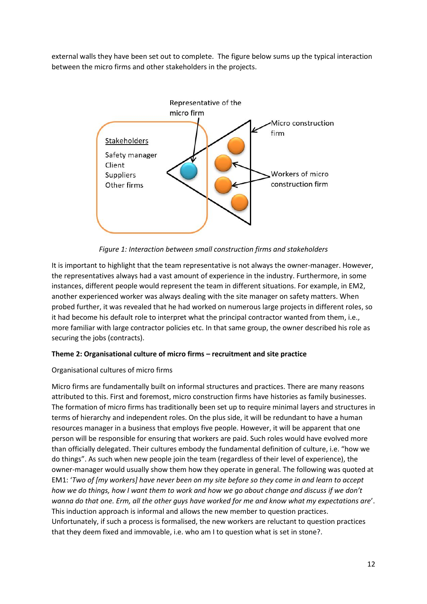external walls they have been set out to complete. The figure below sums up the typical interaction between the micro firms and other stakeholders in the projects.



*Figure 1: Interaction between small construction firms and stakeholders*

It is important to highlight that the team representative is not always the owner-manager. However, the representatives always had a vast amount of experience in the industry. Furthermore, in some instances, different people would represent the team in different situations. For example, in EM2, another experienced worker was always dealing with the site manager on safety matters. When probed further, it was revealed that he had worked on numerous large projects in different roles, so it had become his default role to interpret what the principal contractor wanted from them, i.e., more familiar with large contractor policies etc. In that same group, the owner described his role as securing the jobs (contracts).

# **Theme 2: Organisational culture of micro firms – recruitment and site practice**

# Organisational cultures of micro firms

Micro firms are fundamentally built on informal structures and practices. There are many reasons attributed to this. First and foremost, micro construction firms have histories as family businesses. The formation of micro firms has traditionally been set up to require minimal layers and structures in terms of hierarchy and independent roles. On the plus side, it will be redundant to have a human resources manager in a business that employs five people. However, it will be apparent that one person will be responsible for ensuring that workers are paid. Such roles would have evolved more than officially delegated. Their cultures embody the fundamental definition of culture, i.e. "how we do things". As such when new people join the team (regardless of their level of experience), the owner-manager would usually show them how they operate in general. The following was quoted at EM1: '*Two of [my workers] have never been on my site before so they come in and learn to accept how we do things, how I want them to work and how we go about change and discuss if we don't wanna do that one. Erm, all the other guys have worked for me and know what my expectations are*'. This induction approach is informal and allows the new member to question practices. Unfortunately, if such a process is formalised, the new workers are reluctant to question practices that they deem fixed and immovable, i.e. who am I to question what is set in stone?.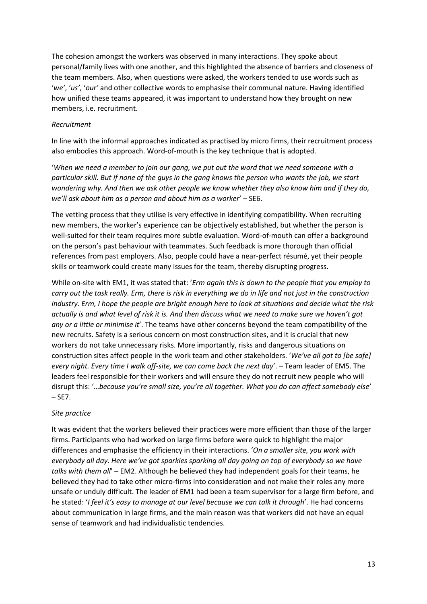The cohesion amongst the workers was observed in many interactions. They spoke about personal/family lives with one another, and this highlighted the absence of barriers and closeness of the team members. Also, when questions were asked, the workers tended to use words such as '*we'*, '*us'*, '*our'* and other collective words to emphasise their communal nature. Having identified how unified these teams appeared, it was important to understand how they brought on new members, i.e. recruitment.

## *Recruitment*

In line with the informal approaches indicated as practised by micro firms, their recruitment process also embodies this approach. Word-of-mouth is the key technique that is adopted.

'*When we need a member to join our gang, we put out the word that we need someone with a particular skill. But if none of the guys in the gang knows the person who wants the job, we start wondering why. And then we ask other people we know whether they also know him and if they do, we'll ask about him as a person and about him as a worker*' – SE6.

The vetting process that they utilise is very effective in identifying compatibility. When recruiting new members, the worker's experience can be objectively established, but whether the person is well-suited for their team requires more subtle evaluation. Word-of-mouth can offer a background on the person's past behaviour with teammates. Such feedback is more thorough than official references from past employers. Also, people could have a near-perfect résumé, yet their people skills or teamwork could create many issues for the team, thereby disrupting progress.

While on-site with EM1, it was stated that: '*Erm again this is down to the people that you employ to carry out the task really. Erm, there is risk in everything we do in life and not just in the construction industry. Erm, I hope the people are bright enough here to look at situations and decide what the risk actually is and what level of risk it is. And then discuss what we need to make sure we haven't got any or a little or minimise it*'. The teams have other concerns beyond the team compatibility of the new recruits. Safety is a serious concern on most construction sites, and it is crucial that new workers do not take unnecessary risks. More importantly, risks and dangerous situations on construction sites affect people in the work team and other stakeholders. '*We've all got to [be safe] every night. Every time I walk off-site, we can come back the next day*'. – Team leader of EM5. The leaders feel responsible for their workers and will ensure they do not recruit new people who will disrupt this: '…*because you're small size, you're all together. What you do can affect somebody else*'  $-$  SE7.

# *Site practice*

It was evident that the workers believed their practices were more efficient than those of the larger firms. Participants who had worked on large firms before were quick to highlight the major differences and emphasise the efficiency in their interactions. '*On a smaller site, you work with everybody all day. Here we've got sparkies sparking all day going on top of everybody so we have talks with them all*' – EM2. Although he believed they had independent goals for their teams, he believed they had to take other micro-firms into consideration and not make their roles any more unsafe or unduly difficult. The leader of EM1 had been a team supervisor for a large firm before, and he stated: '*I feel it's easy to manage at our level because we can talk it through*'. He had concerns about communication in large firms, and the main reason was that workers did not have an equal sense of teamwork and had individualistic tendencies.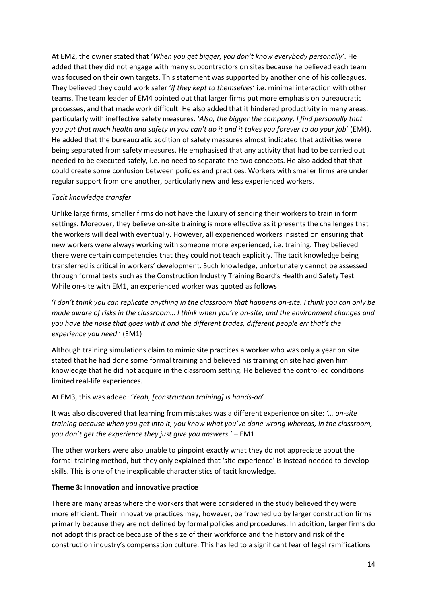At EM2, the owner stated that '*When you get bigger, you don't know everybody personally'*. He added that they did not engage with many subcontractors on sites because he believed each team was focused on their own targets. This statement was supported by another one of his colleagues. They believed they could work safer '*if they kept to themselves*' i.e. minimal interaction with other teams. The team leader of EM4 pointed out that larger firms put more emphasis on bureaucratic processes, and that made work difficult. He also added that it hindered productivity in many areas, particularly with ineffective safety measures. '*Also, the bigger the company, I find personally that*  you put that much health and safety in you can't do it and it takes you forever to do your job' (EM4). He added that the bureaucratic addition of safety measures almost indicated that activities were being separated from safety measures. He emphasised that any activity that had to be carried out needed to be executed safely, i.e. no need to separate the two concepts. He also added that that could create some confusion between policies and practices. Workers with smaller firms are under regular support from one another, particularly new and less experienced workers.

# *Tacit knowledge transfer*

Unlike large firms, smaller firms do not have the luxury of sending their workers to train in form settings. Moreover, they believe on-site training is more effective as it presents the challenges that the workers will deal with eventually. However, all experienced workers insisted on ensuring that new workers were always working with someone more experienced, i.e. training. They believed there were certain competencies that they could not teach explicitly. The tacit knowledge being transferred is critical in workers' development. Such knowledge, unfortunately cannot be assessed through formal tests such as the Construction Industry Training Board's Health and Safety Test. While on-site with EM1, an experienced worker was quoted as follows:

'*I don't think you can replicate anything in the classroom that happens on-site. I think you can only be made aware of risks in the classroom… I think when you're on-site, and the environment changes and you have the noise that goes with it and the different trades, different people err that's the experience you need*.' (EM1)

Although training simulations claim to mimic site practices a worker who was only a year on site stated that he had done some formal training and believed his training on site had given him knowledge that he did not acquire in the classroom setting. He believed the controlled conditions limited real-life experiences.

#### At EM3, this was added: '*Yeah, [construction training] is hands-on*'.

It was also discovered that learning from mistakes was a different experience on site: *'… on-site training because when you get into it, you know what you've done wrong whereas, in the classroom, you don't get the experience they just give you answers.'* – EM1

The other workers were also unable to pinpoint exactly what they do not appreciate about the formal training method, but they only explained that 'site experience' is instead needed to develop skills. This is one of the inexplicable characteristics of tacit knowledge.

#### **Theme 3: Innovation and innovative practice**

There are many areas where the workers that were considered in the study believed they were more efficient. Their innovative practices may, however, be frowned up by larger construction firms primarily because they are not defined by formal policies and procedures. In addition, larger firms do not adopt this practice because of the size of their workforce and the history and risk of the construction industry's compensation culture. This has led to a significant fear of legal ramifications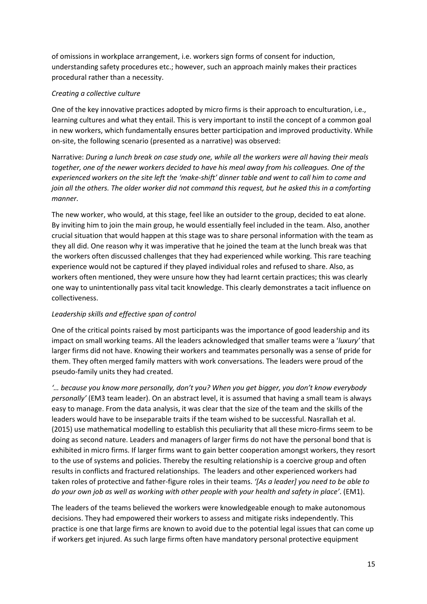of omissions in workplace arrangement, i.e. workers sign forms of consent for induction, understanding safety procedures etc.; however, such an approach mainly makes their practices procedural rather than a necessity.

# *Creating a collective culture*

One of the key innovative practices adopted by micro firms is their approach to enculturation, i.e., learning cultures and what they entail. This is very important to instil the concept of a common goal in new workers, which fundamentally ensures better participation and improved productivity. While on-site, the following scenario (presented as a narrative) was observed:

Narrative: *During a lunch break on case study one, while all the workers were all having their meals together, one of the newer workers decided to have his meal away from his colleagues. One of the experienced workers on the site left the 'make-shift' dinner table and went to call him to come and join all the others. The older worker did not command this request, but he asked this in a comforting manner.*

The new worker, who would, at this stage, feel like an outsider to the group, decided to eat alone. By inviting him to join the main group, he would essentially feel included in the team. Also, another crucial situation that would happen at this stage was to share personal information with the team as they all did. One reason why it was imperative that he joined the team at the lunch break was that the workers often discussed challenges that they had experienced while working. This rare teaching experience would not be captured if they played individual roles and refused to share. Also, as workers often mentioned, they were unsure how they had learnt certain practices; this was clearly one way to unintentionally pass vital tacit knowledge. This clearly demonstrates a tacit influence on collectiveness.

# *Leadership skills and effective span of control*

One of the critical points raised by most participants was the importance of good leadership and its impact on small working teams. All the leaders acknowledged that smaller teams were a '*luxury'* that larger firms did not have. Knowing their workers and teammates personally was a sense of pride for them. They often merged family matters with work conversations. The leaders were proud of the pseudo-family units they had created.

*'… because you know more personally, don't you? When you get bigger, you don't know everybody personally'* (EM3 team leader). On an abstract level, it is assumed that having a small team is always easy to manage. From the data analysis, it was clear that the size of the team and the skills of the leaders would have to be inseparable traits if the team wished to be successful. Nasrallah et al. (2015) use mathematical modelling to establish this peculiarity that all these micro-firms seem to be doing as second nature. Leaders and managers of larger firms do not have the personal bond that is exhibited in micro firms. If larger firms want to gain better cooperation amongst workers, they resort to the use of systems and policies. Thereby the resulting relationship is a coercive group and often results in conflicts and fractured relationships. The leaders and other experienced workers had taken roles of protective and father-figure roles in their teams. *'[As a leader] you need to be able to do your own job as well as working with other people with your health and safety in place'*. (EM1).

The leaders of the teams believed the workers were knowledgeable enough to make autonomous decisions. They had empowered their workers to assess and mitigate risks independently. This practice is one that large firms are known to avoid due to the potential legal issues that can come up if workers get injured. As such large firms often have mandatory personal protective equipment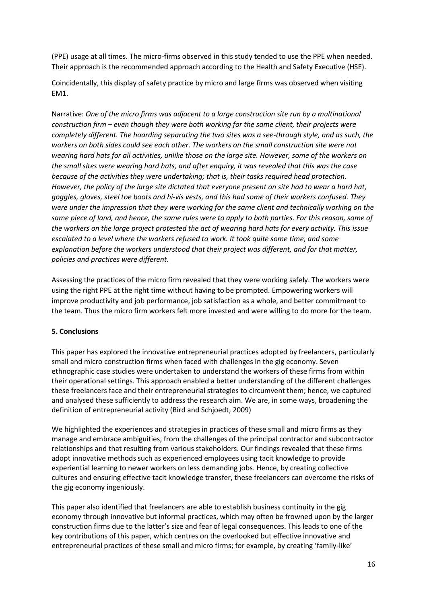(PPE) usage at all times. The micro-firms observed in this study tended to use the PPE when needed. Their approach is the recommended approach according to the Health and Safety Executive (HSE).

Coincidentally, this display of safety practice by micro and large firms was observed when visiting EM1.

Narrative: *One of the micro firms was adjacent to a large construction site run by a multinational construction firm – even though they were both working for the same client, their projects were completely different. The hoarding separating the two sites was a see-through style, and as such, the workers on both sides could see each other. The workers on the small construction site were not wearing hard hats for all activities, unlike those on the large site. However, some of the workers on the small sites were wearing hard hats, and after enquiry, it was revealed that this was the case because of the activities they were undertaking; that is, their tasks required head protection. However, the policy of the large site dictated that everyone present on site had to wear a hard hat, goggles, gloves, steel toe boots and hi-vis vests, and this had some of their workers confused. They were under the impression that they were working for the same client and technically working on the same piece of land, and hence, the same rules were to apply to both parties. For this reason, some of the workers on the large project protested the act of wearing hard hats for every activity. This issue escalated to a level where the workers refused to work. It took quite some time, and some explanation before the workers understood that their project was different, and for that matter, policies and practices were different.*

Assessing the practices of the micro firm revealed that they were working safely. The workers were using the right PPE at the right time without having to be prompted. Empowering workers will improve productivity and job performance, job satisfaction as a whole, and better commitment to the team. Thus the micro firm workers felt more invested and were willing to do more for the team.

# **5. Conclusions**

This paper has explored the innovative entrepreneurial practices adopted by freelancers, particularly small and micro construction firms when faced with challenges in the gig economy. Seven ethnographic case studies were undertaken to understand the workers of these firms from within their operational settings. This approach enabled a better understanding of the different challenges these freelancers face and their entrepreneurial strategies to circumvent them; hence, we captured and analysed these sufficiently to address the research aim. We are, in some ways, broadening the definition of entrepreneurial activity (Bird and Schjoedt, 2009)

We highlighted the experiences and strategies in practices of these small and micro firms as they manage and embrace ambiguities, from the challenges of the principal contractor and subcontractor relationships and that resulting from various stakeholders. Our findings revealed that these firms adopt innovative methods such as experienced employees using tacit knowledge to provide experiential learning to newer workers on less demanding jobs. Hence, by creating collective cultures and ensuring effective tacit knowledge transfer, these freelancers can overcome the risks of the gig economy ingeniously.

This paper also identified that freelancers are able to establish business continuity in the gig economy through innovative but informal practices, which may often be frowned upon by the larger construction firms due to the latter's size and fear of legal consequences. This leads to one of the key contributions of this paper, which centres on the overlooked but effective innovative and entrepreneurial practices of these small and micro firms; for example, by creating 'family-like'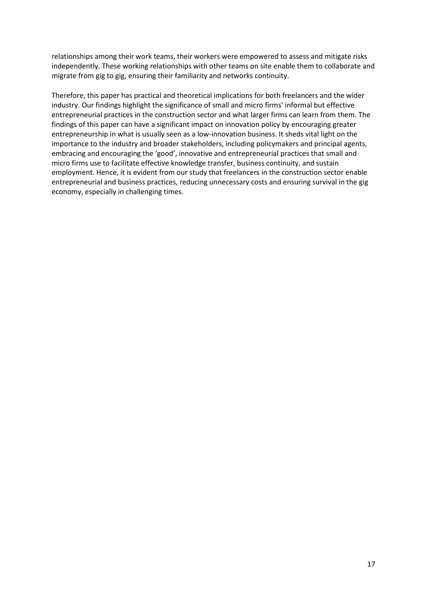relationships among their work teams, their workers were empowered to assess and mitigate risks independently. These working relationships with other teams on site enable them to collaborate and migrate from gig to gig, ensuring their familiarity and networks continuity.

Therefore, this paper has practical and theoretical implications for both freelancers and the wider industry. Our findings highlight the significance of small and micro firms' informal but effective entrepreneurial practices in the construction sector and what larger firms can learn from them. The findings of this paper can have a significant impact on innovation policy by encouraging greater entrepreneurship in what is usually seen as a low-innovation business. It sheds vital light on the importance to the industry and broader stakeholders, including policymakers and principal agents, embracing and encouraging the 'good', innovative and entrepreneurial practices that small and micro firms use to facilitate effective knowledge transfer, business continuity, and sustain employment. Hence, it is evident from our study that freelancers in the construction sector enable entrepreneurial and business practices, reducing unnecessary costs and ensuring survival in the gig economy, especially in challenging times.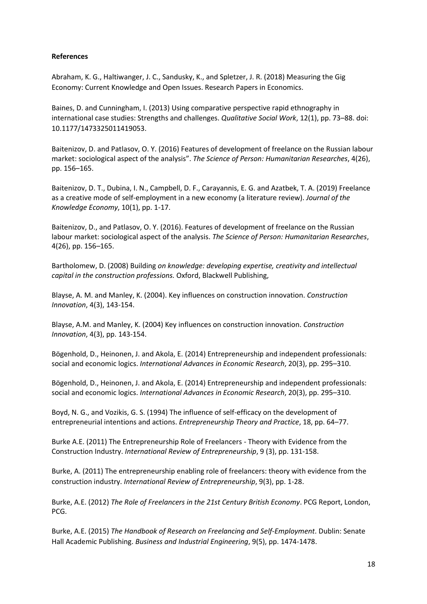## **References**

Abraham, K. G., Haltiwanger, J. C., Sandusky, K., and Spletzer, J. R. (2018) Measuring the Gig Economy: Current Knowledge and Open Issues. Research Papers in Economics.

Baines, D. and Cunningham, I. (2013) Using comparative perspective rapid ethnography in international case studies: Strengths and challenges. *Qualitative Social Work*, 12(1), pp. 73–88. doi: 10.1177/1473325011419053.

Baitenizov, D. and Patlasov, O. Y. (2016) Features of development of freelance on the Russian labour market: sociological aspect of the analysis". *The Science of Person: Humanitarian Researches*, 4(26), pp. 156–165.

Baitenizov, D. T., Dubina, I. N., Campbell, D. F., Carayannis, E. G. and Azatbek, T. A. (2019) Freelance as a creative mode of self-employment in a new economy (a literature review). *Journal of the Knowledge Economy*, 10(1), pp. 1-17.

Baitenizov, D., and Patlasov, O. Y. (2016). Features of development of freelance on the Russian labour market: sociological aspect of the analysis. *The Science of Person: Humanitarian Researches*, 4(26), pp. 156–165.

Bartholomew, D. (2008) Building *on knowledge: developing expertise, creativity and intellectual capital in the construction professions.* Oxford, Blackwell Publishing,

Blayse, A. M. and Manley, K. (2004). Key influences on construction innovation. *Construction Innovation*, 4(3), 143-154.

Blayse, A.M. and Manley, K. (2004) Key influences on construction innovation. *Construction Innovation*, 4(3), pp. 143-154.

Bögenhold, D., Heinonen, J. and Akola, E. (2014) Entrepreneurship and independent professionals: social and economic logics. *International Advances in Economic Research*, 20(3), pp. 295–310.

Bögenhold, D., Heinonen, J. and Akola, E. (2014) Entrepreneurship and independent professionals: social and economic logics. *International Advances in Economic Research*, 20(3), pp. 295–310.

Boyd, N. G., and Vozikis, G. S. (1994) The influence of self-efficacy on the development of entrepreneurial intentions and actions. *Entrepreneurship Theory and Practice*, 18, pp. 64–77.

Burke A.E. (2011) The Entrepreneurship Role of Freelancers - Theory with Evidence from the Construction Industry. *International Review of Entrepreneurship*, 9 (3), pp. 131-158.

Burke, A. (2011) The entrepreneurship enabling role of freelancers: theory with evidence from the construction industry. *International Review of Entrepreneurship*, 9(3), pp. 1-28.

Burke, A.E. (2012) *The Role of Freelancers in the 21st Century British Economy*. PCG Report, London, PCG.

Burke, A.E. (2015) *The Handbook of Research on Freelancing and Self-Employment*. Dublin: Senate Hall Academic Publishing. *Business and Industrial Engineering*, 9(5), pp. 1474-1478.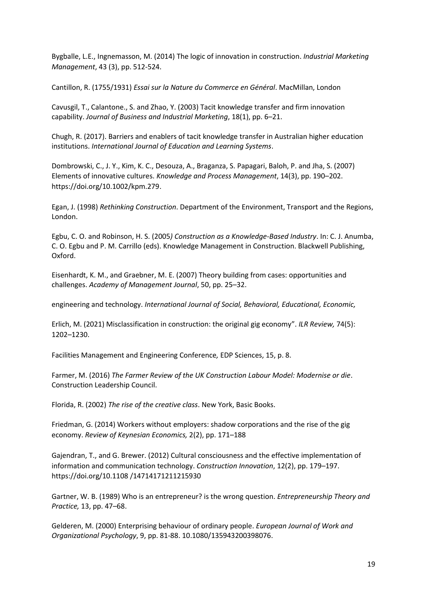Bygballe, L.E., Ingnemasson, M. (2014) The logic of innovation in construction. *Industrial Marketing Management*, 43 (3), pp. 512-524.

Cantillon, R. (1755/1931) *Essai sur la Nature du Commerce en Général*. MacMillan, London

Cavusgil, T., Calantone., S. and Zhao, Y. (2003) Tacit knowledge transfer and firm innovation capability. *Journal of Business and Industrial Marketing*, 18(1), pp. 6–21.

Chugh, R. (2017). Barriers and enablers of tacit knowledge transfer in Australian higher education institutions. *International Journal of Education and Learning Systems*.

Dombrowski, C., J. Y., Kim, K. C., Desouza, A., Braganza, S. Papagari, Baloh, P. and Jha, S. (2007) Elements of innovative cultures. *Knowledge and Process Management*, 14(3), pp. 190–202. [https://doi.org/10.1002/kpm.279.](https://doi.org/10.1002/kpm.279)

Egan, J. (1998) *Rethinking Construction*. Department of the Environment, Transport and the Regions, London.

Egbu, C. O. and Robinson, H. S. (2005*) Construction as a Knowledge-Based Industry*. In: C. J. Anumba, C. O. Egbu and P. M. Carrillo (eds). Knowledge Management in Construction. Blackwell Publishing, Oxford.

Eisenhardt, K. M., and Graebner, M. E. (2007) Theory building from cases: opportunities and challenges. *Academy of Management Journal*, 50, pp. 25–32.

engineering and technology. *International Journal of Social, Behavioral, Educational, Economic,*

Erlich, M. (2021) Misclassification in construction: the original gig economy". *ILR Review,* 74(5): 1202–1230.

Facilities Management and Engineering Conference*,* EDP Sciences, 15, p. 8.

Farmer, M. (2016) *The Farmer Review of the UK Construction Labour Model: Modernise or die*. Construction Leadership Council.

Florida, R. (2002) *The rise of the creative class*. New York, Basic Books.

Friedman, G. (2014) Workers without employers: shadow corporations and the rise of the gig economy. *Review of Keynesian Economics,* 2(2), pp. 171–188

Gajendran, T., and G. Brewer. (2012) Cultural consciousness and the effective implementation of information and communication technology. *Construction Innovation*, 12(2), pp. 179–197. [https://doi.org/10.1108 /14714171211215930](https://doi.org/10.1108%20/14714171211215930)

Gartner, W. B. (1989) Who is an entrepreneur? is the wrong question. *Entrepreneurship Theory and Practice,* 13, pp. 47–68.

Gelderen, M. (2000) Enterprising behaviour of ordinary people. *European Journal of Work and Organizational Psychology*, 9, pp. 81-88. 10.1080/135943200398076.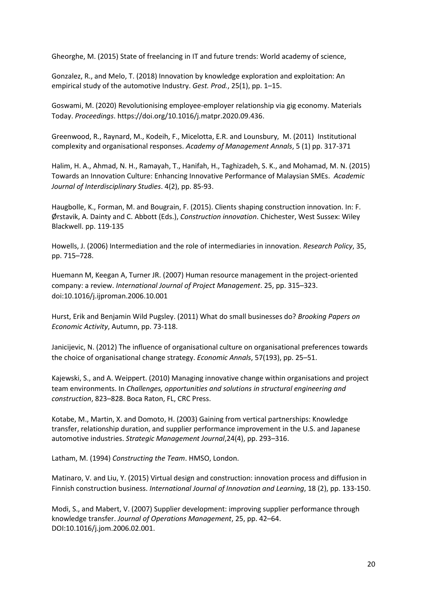Gheorghe, M. (2015) State of freelancing in IT and future trends: World academy of science,

Gonzalez, R., and Melo, T. (2018) Innovation by knowledge exploration and exploitation: An empirical study of the automotive Industry. *Gest. Prod.*, 25(1), pp. 1–15.

Goswami, M. (2020) Revolutionising employee-employer relationship via gig economy. Materials Today. *Proceedings*[. https://doi.org/10.1016/j.matpr.2020.09.436.](https://doi.org/10.1016/j.matpr.2020.09.436)

Greenwood, R., Raynard, M., Kodeih, F., Micelotta, E.R. and Lounsbury, M. (2011) Institutional complexity and organisational responses. *Academy of Management Annals*, 5 (1) pp. 317-371

Halim, H. A., Ahmad, N. H., Ramayah, T., Hanifah, H., Taghizadeh, S. K., and Mohamad, M. N. (2015) Towards an Innovation Culture: Enhancing Innovative Performance of Malaysian SMEs. *Academic Journal of Interdisciplinary Studies*. 4(2), pp. 85-93.

Haugbolle, K., Forman, M. and Bougrain, F. (2015). Clients shaping construction innovation. In: F. Ørstavik, A. Dainty and C. Abbott (Eds.), *Construction innovation*. Chichester, West Sussex: Wiley Blackwell. pp. 119-135

Howells, J. (2006) Intermediation and the role of intermediaries in innovation. *Research Policy*, 35, pp. 715–728.

Huemann M, Keegan A, Turner JR. (2007) Human resource management in the project-oriented company: a review. *International Journal of Project Management*. 25, pp. 315–323. doi:10.1016/j.ijproman.2006.10.001

Hurst, Erik and Benjamin Wild Pugsley. (2011) What do small businesses do? *Brooking Papers on Economic Activity*, Autumn, pp. 73-118.

Janicijevic, N. (2012) The influence of organisational culture on organisational preferences towards the choice of organisational change strategy. *Economic Annals*, 57(193), pp. 25–51.

Kajewski, S., and A. Weippert. (2010) Managing innovative change within organisations and project team environments. In *Challenges, opportunities and solutions in structural engineering and construction*, 823–828. Boca Raton, FL, CRC Press.

Kotabe, M., Martin, X. and Domoto, H. (2003) Gaining from vertical partnerships: Knowledge transfer, relationship duration, and supplier performance improvement in the U.S. and Japanese automotive industries. *Strategic Management Journal*,24(4), pp. 293–316.

Latham, M. (1994) *Constructing the Team*. HMSO, London.

Matinaro, V. and Liu, Y. (2015) Virtual design and construction: innovation process and diffusion in Finnish construction business. *International Journal of Innovation and Learning*, 18 (2), pp. 133-150.

Modi, S., and Mabert, V. (2007) Supplier development: improving supplier performance through knowledge transfer. *Journal of Operations Management*, 25, pp. 42–64. DOI:10.1016/j.jom.2006.02.001.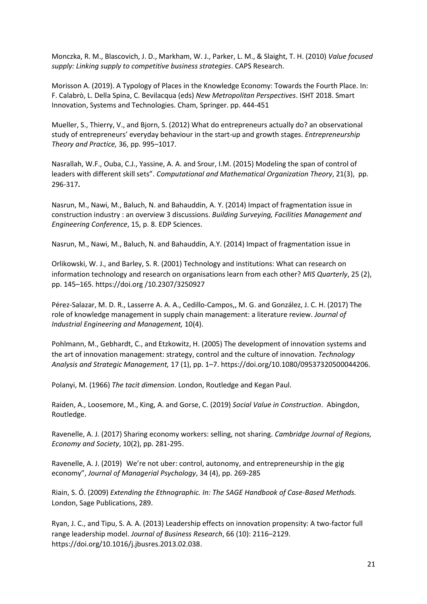Monczka, R. M., Blascovich, J. D., Markham, W. J., Parker, L. M., & Slaight, T. H. (2010) *Value focused supply: Linking supply to competitive business strategies*. CAPS Research.

Morisson A. (2019). A Typology of Places in the Knowledge Economy: Towards the Fourth Place. In: F. Calabrò, L. Della Spina, C. Bevilacqua (eds) *New Metropolitan Perspectives*. ISHT 2018. Smart Innovation, Systems and Technologies. Cham, Springer. pp. 444-451

Mueller, S., Thierry, V., and Bjorn, S. (2012) What do entrepreneurs actually do? an observational study of entrepreneurs' everyday behaviour in the start-up and growth stages. *Entrepreneurship Theory and Practice,* 36, pp. 995–1017.

Nasrallah, W.F., Ouba, C.J., Yassine, A. A. and Srour, I.M. (2015) Modeling the span of control of leaders with different skill sets". *Computational and Mathematical Organization Theory*, 21(3), pp. 296-317**.**

Nasrun, M., Nawi, M., Baluch, N. and Bahauddin, A. Y. (2014) Impact of fragmentation issue in construction industry : an overview 3 discussions. *Building Surveying, Facilities Management and Engineering Conference*, 15, p. 8. EDP Sciences.

Nasrun, M., Nawi, M., Baluch, N. and Bahauddin, A.Y. (2014) Impact of fragmentation issue in

Orlikowski, W. J., and Barley, S. R. (2001) Technology and institutions: What can research on information technology and research on organisations learn from each other? *MIS Quarterly*, 25 (2), pp. 145–165. [https://doi.org](https://doi.org/) /10.2307/3250927

Pérez-Salazar, M. D. R., Lasserre A. A. A., Cedillo-Campos,, M. G. and González, J. C. H. (2017) The role of knowledge management in supply chain management: a literature review. *Journal of Industrial Engineering and Management,* 10(4).

Pohlmann, M., Gebhardt, C., and Etzkowitz, H. (2005) The development of innovation systems and the art of innovation management: strategy, control and the culture of innovation. *Technology Analysis and Strategic Management,* 17 (1), pp. 1–7. https://doi.org/10.1080/09537320500044206.

Polanyi, M. (1966) *The tacit dimension*. London, Routledge and Kegan Paul.

Raiden, A., Loosemore, M., King, A. and Gorse, C. (2019) *Social Value in Construction*. Abingdon, Routledge.

Ravenelle, A. J. (2017) Sharing economy workers: selling, not sharing. *Cambridge Journal of Regions, Economy and Society*, 10(2), pp. 281-295.

Ravenelle, A. J. (2019) We're not uber: control, autonomy, and entrepreneurship in the gig economy", *Journal of Managerial Psychology*, 34 (4), pp. 269-285

Riain, S. Ó. (2009) *Extending the Ethnographic. In: The SAGE Handbook of Case-Based Methods.* London, Sage Publications, 289.

Ryan, J. C., and Tipu, S. A. A. (2013) Leadership effects on innovation propensity: A two-factor full range leadership model. *Journal of Business Research*, 66 (10): 2116–2129. [https://doi.org/10.1016/j.jbusres.2013.02.038.](https://doi.org/10.1016/j.jbusres.2013.02.038)